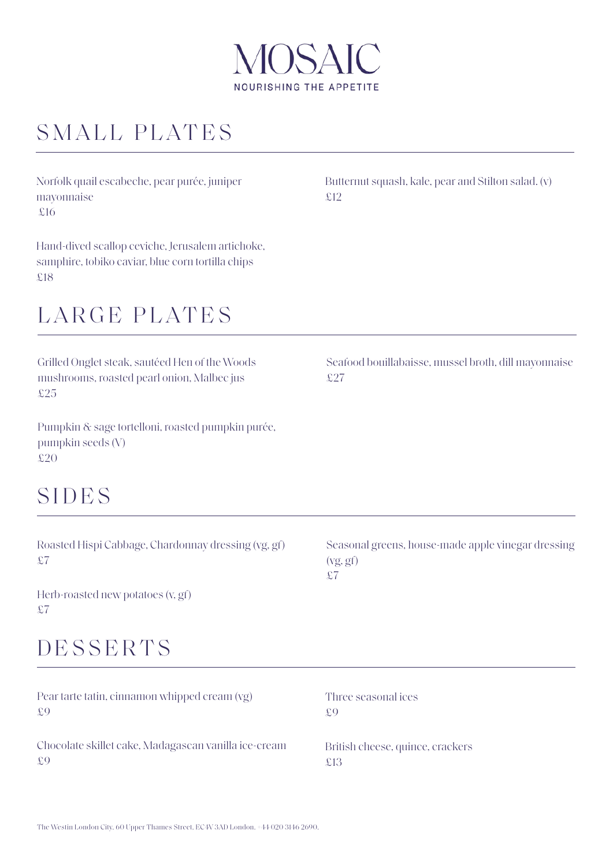

# SMALL PLATES

Norfolk quail escabeche, pear purée, juniper mayonnaise £16

Hand-dived scallop ceviche, Jerusalem artichoke, samphire, tobiko caviar, blue corn tortilla chips £18

# LARGE PLATES

Grilled Onglet steak, sautéed Hen of the Woods mushrooms, roasted pearl onion, Malbec jus £25

Pumpkin & sage tortelloni, roasted pumpkin purée, pumpkin seeds (V) £20

# SIDES

Roasted Hispi Cabbage, Chardonnay dressing (vg, gf) £7

Herb-roasted new potatoes (v, gf) £7

### DESSERTS

Pear tarte tatin, cinnamon whipped cream (vg) £9

Chocolate skillet cake, Madagascan vanilla ice-cream £9

Butternut squash, kale, pear and Stilton salad. (v) £12

Seafood bouillabaisse, mussel broth, dill mayonnaise £27

Seasonal greens, house-made apple vinegar dressing (vg, gf) £7

British cheese, quince, crackers £13

Three seasonal ices

£9